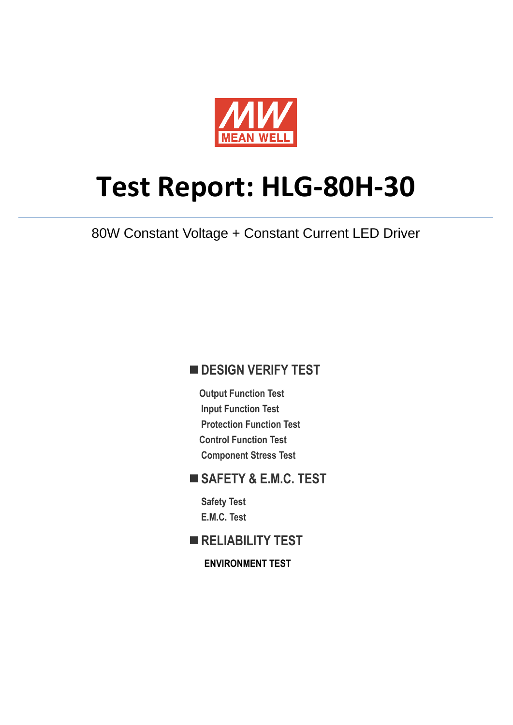

# **Test Report: HLG-80H-30**

80W Constant Voltage + Constant Current LED Driver

### **DESIGN VERIFY TEST**

**Output Function Test Input Function Test Protection Function Test Control Function Test Component Stress Test** 

### **SAFETY & E.M.C. TEST**

**Safety Test E.M.C. Test** 

**RELIABILITY TEST** 

**ENVIRONMENT TEST**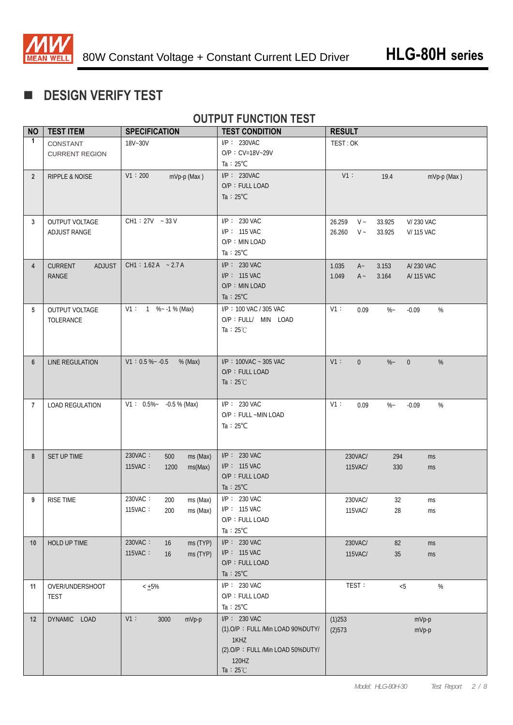

# **DESIGN VERIFY TEST**

### **OUTPUT FUNCTION TEST**

| <b>NO</b>      | <b>TEST ITEM</b>                         | <b>SPECIFICATION</b>                                     | <b>TEST CONDITION</b>                                                                                                           | <b>RESULT</b>                                                                                  |
|----------------|------------------------------------------|----------------------------------------------------------|---------------------------------------------------------------------------------------------------------------------------------|------------------------------------------------------------------------------------------------|
| $\mathbf{1}$   | CONSTANT<br><b>CURRENT REGION</b>        | 18V~30V                                                  | $I/P$ : 230VAC<br>$O/P : CV=18V-29V$<br>Ta : $25^{\circ}$ C                                                                     | TEST: OK                                                                                       |
| $\overline{2}$ | <b>RIPPLE &amp; NOISE</b>                | V1:200<br>mVp-p (Max)                                    | $I/P$ : 230VAC<br>O/P: FULL LOAD<br>Ta : $25^{\circ}$ C                                                                         | $V1$ :<br>19.4<br>mVp-p (Max)                                                                  |
| 3              | OUTPUT VOLTAGE<br>ADJUST RANGE           | $CH1: 27V - 33V$                                         | I/P: 230 VAC<br>I/P: 115 VAC<br>O/P: MIN LOAD<br>Ta : $25^{\circ}$ C                                                            | 26.259<br>$V \sim$<br>33.925<br>V/ 230 VAC<br>26.260<br>$V \sim$<br>33.925<br><b>V/115 VAC</b> |
| $\overline{4}$ | ADJUST<br><b>CURRENT</b><br><b>RANGE</b> | $CH1: 1.62 A - 2.7 A$                                    | $I/P$ : 230 VAC<br>$I/P$ : 115 VAC<br>O/P: MIN LOAD<br>Ta : $25^{\circ}$ C                                                      | 1.035<br>3.153<br>A/ 230 VAC<br>$A -$<br>1.049<br>3.164<br>$A -$<br>A/ 115 VAC                 |
| 5              | OUTPUT VOLTAGE<br>TOLERANCE              | $V1: 1 % -1 % (Max)$                                     | I/P: 100 VAC / 305 VAC<br>O/P : FULL/ MIN LOAD<br>Ta : $25^{\circ}$ C                                                           | V1:<br>$\%$<br>0.09<br>$\%$ ~<br>$-0.09$                                                       |
| $6\phantom{1}$ | LINE REGULATION                          | $V1: 0.5 % ~ -0.5$<br>% (Max)                            | I/P: 100VAC ~ 305 VAC<br>O/P: FULL LOAD<br>Ta : $25^{\circ}$ C                                                                  | $V1$ :<br>$\overline{0}$<br>$\%$<br>$\%$ ~<br>$\overline{0}$                                   |
| $\overline{7}$ | <b>LOAD REGULATION</b>                   | $V1: 0.5\%$ - 0.5 % (Max)                                | I/P: 230 VAC<br>O/P: FULL ~MIN LOAD<br>Ta : $25^{\circ}$ C                                                                      | V1:<br>%<br>0.09<br>$\%$ ~<br>$-0.09$                                                          |
| 8              | SET UP TIME                              | 230VAC:<br>500<br>ms (Max)<br>115VAC:<br>1200<br>ms(Max) | $I/P$ : 230 VAC<br>$I/P$ : 115 VAC<br>O/P: FULL LOAD<br>Ta : $25^{\circ}$ C                                                     | 230VAC/<br>294<br>ms<br>115VAC/<br>330<br>ms                                                   |
| 9              | <b>RISE TIME</b>                         | 230VAC:<br>200<br>ms (Max)<br>115VAC:<br>ms (Max)<br>200 | $I/P$ : 230 VAC<br>I/P: 115 VAC<br>O/P: FULL LOAD<br>Ta : $25^{\circ}$ C                                                        | 230VAC/<br>32<br>ms<br>115VAC/<br>28<br>ms                                                     |
| 10             | HOLD UP TIME                             | 230VAC:<br>ms (TYP)<br>16<br>115VAC:<br>16<br>ms (TYP)   | I/P: 230 VAC<br>$I/P$ : 115 VAC<br>O/P: FULL LOAD<br>Ta : $25^{\circ}$ C                                                        | 230VAC/<br>82<br>ms<br>115VAC/<br>$35\,$<br>ms                                                 |
| 11             | OVER/UNDERSHOOT<br>TEST                  | $< +5\%$                                                 | I/P: 230 VAC<br>O/P: FULL LOAD<br>Ta: $25^{\circ}$ C                                                                            | TEST:<br>$< 5$<br>$\%$                                                                         |
| 12             | DYNAMIC LOAD                             | V1:<br>3000<br>mVp-p                                     | $I/P$ : 230 VAC<br>(1).O/P: FULL /Min LOAD 90%DUTY/<br>1KHZ<br>(2).O/P: FULL /Min LOAD 50%DUTY/<br>120HZ<br>Ta : $25^{\circ}$ C | (1)253<br>mVp-p<br>(2)573<br>mVp-p                                                             |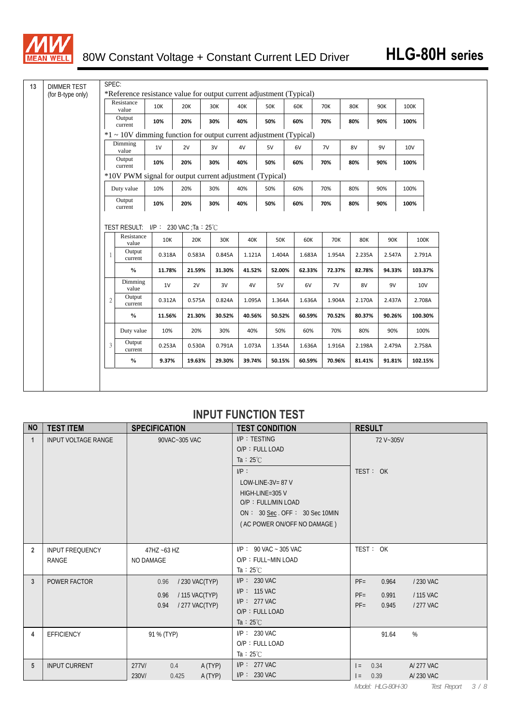

| <b>DIMMER TEST</b><br>(for B-type only) |                | *Reference resistance value for output current adjustment (Typical)    |               |                                     |     |               |               |               |               |               |               |        |        |                                                |
|-----------------------------------------|----------------|------------------------------------------------------------------------|---------------|-------------------------------------|-----|---------------|---------------|---------------|---------------|---------------|---------------|--------|--------|------------------------------------------------|
|                                         |                | Resistance<br>value                                                    | 10K           | 20K                                 | 30K |               | 40K           | <b>50K</b>    | 60K           | 70K           | <b>80K</b>    | 90K    | 100K   |                                                |
|                                         |                | Output<br>current                                                      | 10%           | 20%                                 | 30% |               | 40%           | 50%           | 60%           | 70%           | 80%           | 90%    | 100%   |                                                |
|                                         |                | $*1 \sim 10V$ dimming function for output current adjustment (Typical) |               |                                     |     |               |               |               |               |               |               |        |        |                                                |
|                                         |                | Dimming<br>value                                                       | 1V            | 2V                                  | 3V  |               | 4V            | 5V            | 6V            | 7V            | 8V            | 9V     | 10V    |                                                |
|                                         |                | Output<br>current                                                      | 10%           | 20%                                 | 30% |               | 40%           | 50%           | 60%           | 70%           | 80%           | 90%    | 100%   |                                                |
|                                         |                | *10V PWM signal for output current adjustment (Typical)                |               |                                     |     |               |               |               |               |               |               |        |        |                                                |
|                                         |                | Duty value                                                             | 10%           | 20%                                 | 30% |               | 40%           | 50%           | 60%           | 70%           | 80%           | 90%    | 100%   |                                                |
|                                         |                | Output<br>current                                                      | 10%           | 20%                                 | 30% |               | 40%           | 50%           | 60%           | 70%           | 80%           | 90%    | 100%   |                                                |
|                                         |                |                                                                        |               | TEST RESULT: I/P: 230 VAC :Ta: 25°C |     |               |               |               |               |               |               |        |        |                                                |
|                                         | 1              | Resistance<br>value<br>Output<br>current                               | 10K<br>0.318A | 20K<br>0.583A                       |     | 30K<br>0.845A | 40K<br>1.121A | 50K<br>1.404A | 60K<br>1.683A | 70K<br>1.954A | 80K<br>2.235A | 2.547A | 90K    | 100K                                           |
|                                         |                | $\frac{0}{0}$                                                          | 11.78%        | 21.59%                              |     | 31.30%        | 41.52%        | 52.00%        | 62.33%        | 72.37%        | 82.78%        | 94.33% |        |                                                |
|                                         |                | Dimming<br>value                                                       | 1V            | 2V                                  |     | 3V            | 4V            | 5V            | 6V            | 7V            | 8V            |        | 9V     | 10 <sub>V</sub>                                |
|                                         | $\mathfrak{2}$ | Output<br>current                                                      | 0.312A        | 0.575A                              |     | 0.824A        | 1.095A        | 1.364A        | 1.636A        | 1.904A        | 2.170A        |        | 2.437A |                                                |
|                                         |                | $\frac{0}{0}$                                                          | 11.56%        | 21.30%                              |     | 30.52%        | 40.56%        | 50.52%        | 60.59%        | 70.52%        | 80.37%        | 90.26% |        |                                                |
|                                         |                | Duty value                                                             | 10%           | 20%                                 |     | 30%           | 40%           | 50%           | 60%           | 70%           | 80%           |        | 90%    | 2.791A<br>103.37%<br>2.708A<br>100.30%<br>100% |
|                                         | 3              | Output<br>current                                                      | 0.253A        | 0.530A                              |     | 0.791A        | 1.073A        | 1.354A        | 1.636A        | 1.916A        | 2.198A        |        | 2.479A | 2.758A                                         |

### **INPUT FUNCTION TEST**

| <b>NO</b>      | <b>TEST ITEM</b>                | <b>SPECIFICATION</b>                                                       | <b>TEST CONDITION</b>                                                                                                                                                                              | <b>RESULT</b>                                                                               |
|----------------|---------------------------------|----------------------------------------------------------------------------|----------------------------------------------------------------------------------------------------------------------------------------------------------------------------------------------------|---------------------------------------------------------------------------------------------|
| $\mathbf 1$    | <b>INPUT VOLTAGE RANGE</b>      | 90VAC~305 VAC                                                              | I/P: TESTING<br>O/P: FULL LOAD<br>Ta : $25^{\circ}$ C<br>$I/P$ :<br>LOW-LINE-3V= $87$ V<br>HIGH-LINE=305 V<br>O/P: FULL/MIN LOAD<br>ON : 30 Sec. OFF : 30 Sec 10MIN<br>(AC POWER ON/OFF NO DAMAGE) | 72 V~305V<br>TEST: OK                                                                       |
| $\overline{2}$ | <b>INPUT FREQUENCY</b><br>RANGE | $47$ HZ ~63 HZ<br>NO DAMAGE                                                | $I/P$ : 90 VAC ~ 305 VAC<br>O/P: FULL~MIN LOAD<br>Ta : $25^{\circ}$ C                                                                                                                              | TEST: OK                                                                                    |
| 3              | POWER FACTOR                    | / 230 VAC(TYP)<br>0.96<br>/ 115 VAC(TYP)<br>0.96<br>/ 277 VAC(TYP)<br>0.94 | $I/P$ : 230 VAC<br>$I/P: 115$ VAC<br>$I/P$ : 277 VAC<br>O/P: FULL LOAD<br>Ta : $25^{\circ}$ C                                                                                                      | $PF =$<br>0.964<br>/ 230 VAC<br>/ 115 VAC<br>$PF =$<br>0.991<br>$PF=$<br>0.945<br>/ 277 VAC |
| 4              | <b>EFFICIENCY</b>               | 91 % (TYP)                                                                 | $I/P$ : 230 VAC<br>O/P: FULL LOAD<br>Ta : $25^{\circ}$ C                                                                                                                                           | %<br>91.64                                                                                  |
| 5              | <b>INPUT CURRENT</b>            | A (TYP)<br>277V/<br>0.4<br>A (TYP)<br>230V/<br>0.425                       | $I/P$ : 277 VAC<br>$I/P$ : 230 VAC                                                                                                                                                                 | A/277 VAC<br>0.34<br>$=$<br>A/230 VAC<br>0.39<br>$=$                                        |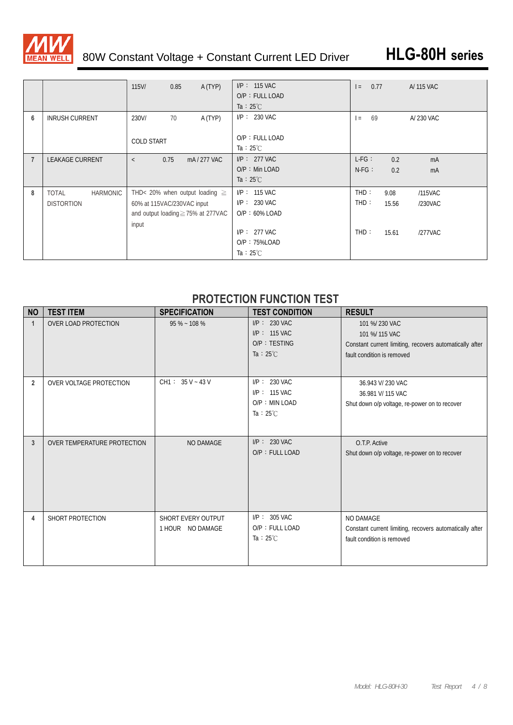

# 80W Constant Voltage + Constant Current LED Driver **HLG-80H series**

|                |                                 | A (TYP)<br>0.85<br>$115$ V/             | $I/P$ : 115 VAC<br>O/P: FULL LOAD<br>Ta : $25^{\circ}$ C | 0.77<br>$=$ | A/ 115 VAC       |
|----------------|---------------------------------|-----------------------------------------|----------------------------------------------------------|-------------|------------------|
| 6              | <b>INRUSH CURRENT</b>           | 230V/<br>A (TYP)<br>70                  | $I/P$ : 230 VAC                                          | 69<br>$=$   | A/230 VAC        |
|                |                                 | <b>COLD START</b>                       | O/P: FULL LOAD<br>Ta : $25^{\circ}$ C                    |             |                  |
| $\overline{7}$ | <b>LEAKAGE CURRENT</b>          | 0.75<br>mA/277 VAC<br>$\lt$             | $I/P$ : 277 VAC<br>O/P : Min LOAD                        | $L-FG:$     | 0.2<br>mA        |
|                |                                 |                                         | Ta : $25^{\circ}$ C                                      | $N-FG$ :    | 0.2<br>mA        |
| 8              | <b>TOTAL</b><br><b>HARMONIC</b> | THD< 20% when output loading $\geq$     | $I/P$ : 115 VAC                                          | THD:        | 9.08<br>/115VAC  |
|                | <b>DISTORTION</b>               | 60% at 115VAC/230VAC input              | $I/P: 230$ VAC                                           | THD:        | /230VAC<br>15.56 |
|                |                                 | and output loading $\geq$ 75% at 277VAC | $O/P: 60\%$ LOAD                                         |             |                  |
|                |                                 | input                                   | $I/P$ : 277 VAC<br>O/P: 75%LOAD<br>Ta : $25^{\circ}$ C   | THD:        | 15.61<br>/277VAC |

### **PROTECTION FUNCTION TEST**

| <b>NO</b>      | <b>TEST ITEM</b>            | <b>SPECIFICATION</b>                   | <b>TEST CONDITION</b>                                                      | <b>RESULT</b>                                                                                                             |
|----------------|-----------------------------|----------------------------------------|----------------------------------------------------------------------------|---------------------------------------------------------------------------------------------------------------------------|
| $\mathbf 1$    | <b>OVER LOAD PROTECTION</b> | $95\% - 108\%$                         | $I/P$ : 230 VAC<br>$I/P$ : 115 VAC<br>O/P: TESTING<br>Ta : $25^{\circ}$ C  | 101 %/ 230 VAC<br>101 %/ 115 VAC<br>Constant current limiting, recovers automatically after<br>fault condition is removed |
| $\overline{2}$ | OVER VOLTAGE PROTECTION     | $CH1: 35 V - 43 V$                     | $I/P$ : 230 VAC<br>$I/P$ : 115 VAC<br>O/P: MIN LOAD<br>Ta : $25^{\circ}$ C | 36.943 V/ 230 VAC<br>36.981 V/ 115 VAC<br>Shut down o/p voltage, re-power on to recover                                   |
| 3              | OVER TEMPERATURE PROTECTION | <b>NO DAMAGE</b>                       | $I/P$ : 230 VAC<br>O/P: FULL LOAD                                          | O.T.P. Active<br>Shut down o/p voltage, re-power on to recover                                                            |
| 4              | SHORT PROTECTION            | SHORT EVERY OUTPUT<br>1 HOUR NO DAMAGE | $I/P$ : 305 VAC<br>O/P: FULL LOAD<br>Ta : $25^{\circ}$ C                   | <b>NO DAMAGE</b><br>Constant current limiting, recovers automatically after<br>fault condition is removed                 |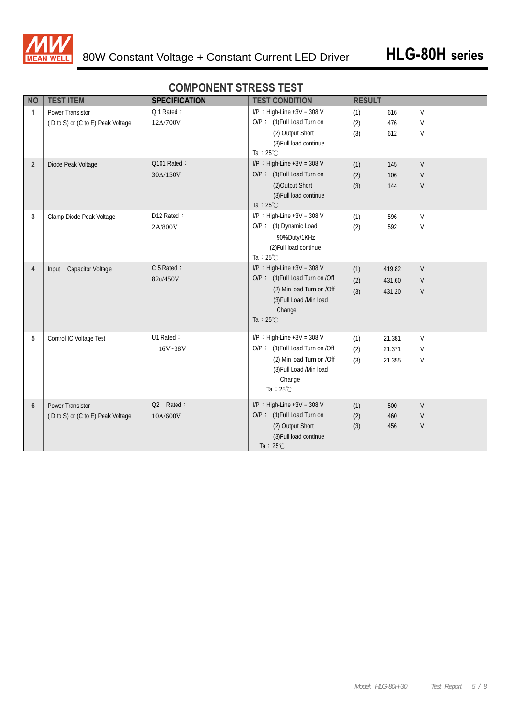

|                |                                   |                      | \_VV  _V                        |               |        |         |  |
|----------------|-----------------------------------|----------------------|---------------------------------|---------------|--------|---------|--|
| <b>NO</b>      | <b>TEST ITEM</b>                  | <b>SPECIFICATION</b> | <b>TEST CONDITION</b>           | <b>RESULT</b> |        |         |  |
| $\mathbf{1}$   | <b>Power Transistor</b>           | Q 1 Rated:           | $I/P$ : High-Line +3V = 308 V   | (1)           | 616    | $\vee$  |  |
|                | (D to S) or (C to E) Peak Voltage | 12A/700V             | O/P: (1) Full Load Turn on      | (2)           | 476    | V       |  |
|                |                                   |                      | (2) Output Short                | (3)           | 612    | V       |  |
|                |                                   |                      | (3) Full load continue          |               |        |         |  |
|                |                                   |                      | Ta : $25^{\circ}$ C             |               |        |         |  |
| $\overline{2}$ | Diode Peak Voltage                | Q101 Rated:          | I/P : High-Line +3V = 308 V     | (1)           | 145    | V       |  |
|                |                                   | 30A/150V             | O/P: (1) Full Load Turn on      | (2)           | 106    | V       |  |
|                |                                   |                      | (2) Output Short                | (3)           | 144    | V       |  |
|                |                                   |                      | (3) Full load continue          |               |        |         |  |
|                |                                   |                      | Ta: $25^{\circ}$ C              |               |        |         |  |
| 3              | Clamp Diode Peak Voltage          | D12 Rated:           | I/P : High-Line $+3V = 308$ V   | (1)           | 596    | $\vee$  |  |
|                |                                   | 2A/800V              | O/P: (1) Dynamic Load           | (2)           | 592    | V       |  |
|                |                                   |                      | 90%Duty/1KHz                    |               |        |         |  |
|                |                                   |                      | (2) Full load continue          |               |        |         |  |
|                |                                   |                      | Ta : $25^{\circ}$ C             |               |        |         |  |
| $\overline{4}$ | Input Capacitor Voltage           | C 5 Rated:           | I/P : High-Line $+3V = 308$ V   | (1)           | 419.82 | $\vee$  |  |
|                |                                   | 82u/450V             | O/P: (1) Full Load Turn on /Off | (2)           | 431.60 | V       |  |
|                |                                   |                      | (2) Min load Turn on /Off       | (3)           | 431.20 | $\sf V$ |  |
|                |                                   |                      | (3) Full Load /Min load         |               |        |         |  |
|                |                                   |                      | Change                          |               |        |         |  |
|                |                                   |                      | Ta : $25^{\circ}$ C             |               |        |         |  |
|                |                                   |                      |                                 |               |        |         |  |
| 5              | Control IC Voltage Test           | U1 Rated:            | $I/P$ : High-Line +3V = 308 V   | (1)           | 21.381 | V       |  |
|                |                                   | 16V~38V              | O/P: (1) Full Load Turn on /Off | (2)           | 21.371 | $\vee$  |  |
|                |                                   |                      | (2) Min load Turn on /Off       | (3)           | 21.355 | V       |  |
|                |                                   |                      | (3) Full Load /Min load         |               |        |         |  |
|                |                                   |                      | Change                          |               |        |         |  |
|                |                                   |                      | Ta: $25^{\circ}$ C              |               |        |         |  |
| $6\phantom{1}$ | <b>Power Transistor</b>           | Q2 Rated:            | $I/P$ : High-Line +3V = 308 V   | (1)           | 500    | $\vee$  |  |
|                | (D to S) or (C to E) Peak Voltage | 10A/600V             | O/P: (1) Full Load Turn on      | (2)           | 460    | V       |  |
|                |                                   |                      | (2) Output Short                | (3)           | 456    | V       |  |
|                |                                   |                      | (3) Full load continue          |               |        |         |  |
|                |                                   |                      | Ta : $25^{\circ}$ C             |               |        |         |  |

### **COMPONENT STRESS TEST**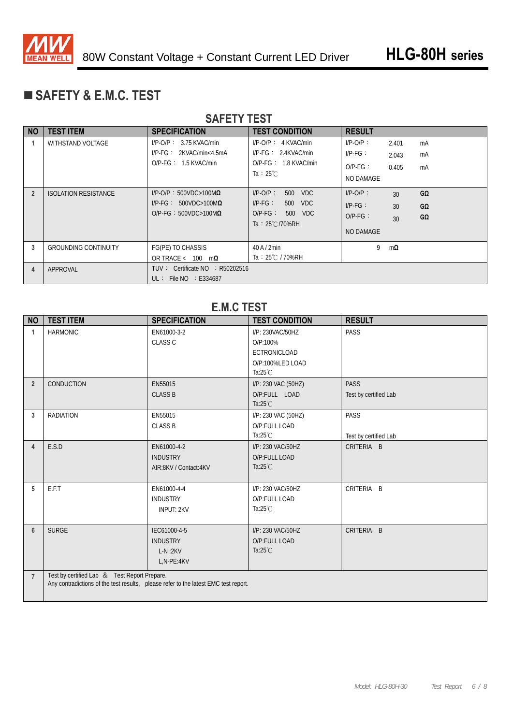

# **SAFETY & E.M.C. TEST**

|                | <b>SAFETY TEST</b>          |                                                                                                  |                                                                                                                |                                                     |                         |                |  |  |  |  |  |
|----------------|-----------------------------|--------------------------------------------------------------------------------------------------|----------------------------------------------------------------------------------------------------------------|-----------------------------------------------------|-------------------------|----------------|--|--|--|--|--|
| <b>NO</b>      | <b>TEST ITEM</b>            | <b>SPECIFICATION</b>                                                                             | <b>TEST CONDITION</b>                                                                                          | <b>RESULT</b>                                       |                         |                |  |  |  |  |  |
|                | <b>WITHSTAND VOLTAGE</b>    | $I/P$ -O/P: 3.75 KVAC/min<br>$I/P-FG: 2KVAC/min4.5mA$<br>$O/P-FG: 1.5$ KVAC/min                  | $I/P-O/P$ : 4 KVAC/min<br>$I/P-FG: 2.4KVAC/min$<br>$O/P-FG: 1.8$ KVAC/min<br>Ta : $25^{\circ}$ C               | $I/P-O/P$ :<br>$IP-FG$ :<br>$O/P-FG$ :<br>NO DAMAGE | 2.401<br>2.043<br>0.405 | mA<br>mA<br>mA |  |  |  |  |  |
| $\overline{2}$ | <b>ISOLATION RESISTANCE</b> | $I/P$ -O/P: 500VDC>100M $\Omega$<br>$I/P-FG: 500VDC>100M\Omega$<br>O/P-FG: $500VDC > 100M\Omega$ | $I/P-O/P$ :<br>500<br><b>VDC</b><br>$I/P-FG$ :<br>500 VDC<br>$O/P-FG$ :<br>500 VDC<br>Ta: $25^{\circ}$ C/70%RH | $I/P-O/P$ :<br>$IP-FG$ :<br>$O/P-FG$ :<br>NO DAMAGE | 30<br>30<br>30          | GΩ<br>GΩ<br>GΩ |  |  |  |  |  |
| 3              | <b>GROUNDING CONTINUITY</b> | FG(PE) TO CHASSIS<br>OR TRACE < $100 \text{ m}\Omega$                                            | $40$ A $/$ 2min<br>Ta: 25℃ / 70%RH                                                                             | 9                                                   | $m\Omega$               |                |  |  |  |  |  |
| 4              | APPROVAL                    | TUV: Certificate $NO$ : R50202516<br>UL: File NO : E334687                                       |                                                                                                                |                                                     |                         |                |  |  |  |  |  |

### **E.M.C TEST**

| <b>NO</b>      | <b>TEST ITEM</b>                             | <b>SPECIFICATION</b>                                                                | <b>TEST CONDITION</b>                                                                  | <b>RESULT</b>                        |
|----------------|----------------------------------------------|-------------------------------------------------------------------------------------|----------------------------------------------------------------------------------------|--------------------------------------|
| $\mathbf{1}$   | <b>HARMONIC</b>                              | EN61000-3-2<br><b>CLASS C</b>                                                       | I/P: 230VAC/50HZ<br>O/P:100%<br>ECTRONICLOAD<br>O/P:100%LED LOAD<br>Ta: $25^{\circ}$ C | PASS                                 |
| $\overline{2}$ | <b>CONDUCTION</b>                            | EN55015<br><b>CLASS B</b>                                                           | I/P: 230 VAC (50HZ)<br>O/P:FULL LOAD<br>Ta: $25^{\circ}$ C                             | <b>PASS</b><br>Test by certified Lab |
| 3              | <b>RADIATION</b>                             | EN55015<br><b>CLASS B</b>                                                           | I/P: 230 VAC (50HZ)<br>O/P:FULL LOAD<br>Ta: $25^{\circ}$ C                             | PASS<br>Test by certified Lab        |
| $\overline{4}$ | E.S.D                                        | EN61000-4-2<br><b>INDUSTRY</b><br>AIR:8KV / Contact:4KV                             | I/P: 230 VAC/50HZ<br>O/P:FULL LOAD<br>Ta: $25^{\circ}$ C                               | CRITERIA B                           |
| 5              | E.F.T                                        | EN61000-4-4<br><b>INDUSTRY</b><br><b>INPUT: 2KV</b>                                 | I/P: 230 VAC/50HZ<br>O/P:FULL LOAD<br>Ta: $25^{\circ}$ C                               | CRITERIA B                           |
| 6              | <b>SURGE</b>                                 | IEC61000-4-5<br><b>INDUSTRY</b><br>$L-N:2KV$<br>L,N-PE:4KV                          | I/P: 230 VAC/50HZ<br>O/P:FULL LOAD<br>Ta: $25^{\circ}$ C                               | CRITERIA B                           |
| $\overline{7}$ | Test by certified Lab & Test Report Prepare. | Any contradictions of the test results, please refer to the latest EMC test report. |                                                                                        |                                      |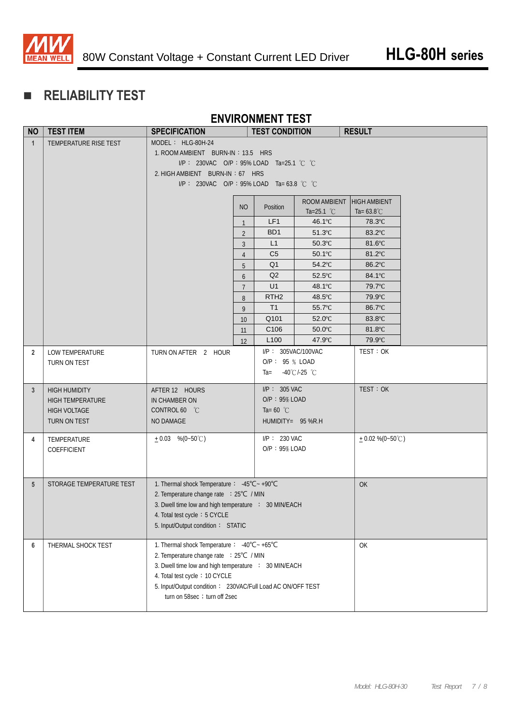

# **RELIABILITY TEST**

### **ENVIRONMENT TEST**

| <b>NO</b>      | <b>TEST ITEM</b>         | <b>SPECIFICATION</b>                                       |                                 | <b>TEST CONDITION</b> |                      | <b>RESULT</b>        |  |  |
|----------------|--------------------------|------------------------------------------------------------|---------------------------------|-----------------------|----------------------|----------------------|--|--|
| $\mathbf{1}$   | TEMPERATURE RISE TEST    | MODEL: HLG-80H-24                                          |                                 |                       |                      |                      |  |  |
|                |                          | 1. ROOM AMBIENT BURN-IN: 13.5 HRS                          |                                 |                       |                      |                      |  |  |
|                |                          | I/P: 230VAC O/P: 95% LOAD Ta=25.1 °C °C                    |                                 |                       |                      |                      |  |  |
|                |                          |                                                            | 2. HIGH AMBIENT BURN-IN: 67 HRS |                       |                      |                      |  |  |
|                |                          | I/P: 230VAC O/P: 95% LOAD Ta= 63.8 °C °C                   |                                 |                       |                      |                      |  |  |
|                |                          |                                                            |                                 |                       | ROOM AMBIENT         | <b>HIGH AMBIENT</b>  |  |  |
|                |                          |                                                            | <b>NO</b>                       | Position              | Ta=25.1 $^{\circ}$ C | Ta= $63.8^{\circ}$ C |  |  |
|                |                          |                                                            | $\mathbf{1}$                    | LF1                   | 46.1°C               | 78.3°C               |  |  |
|                |                          |                                                            | $\overline{2}$                  | BD <sub>1</sub>       | $51.3^{\circ}$ C     | 83.2°C               |  |  |
|                |                          |                                                            | 3                               | L1                    | 50.3°C               | 81.6°C               |  |  |
|                |                          |                                                            | $\overline{4}$                  | C <sub>5</sub>        | 50.1°C               | 81.2°C               |  |  |
|                |                          |                                                            | 5                               | Q <sub>1</sub>        | 54.2°C               | 86.2°C               |  |  |
|                |                          |                                                            | 6                               | Q2                    | 52.5°C               | 84.1°C               |  |  |
|                |                          |                                                            | $\overline{7}$                  | U1                    | 48.1°C               | 79.7°C               |  |  |
|                |                          |                                                            | 8                               | RTH <sub>2</sub>      | 48.5°C               | 79.9°C               |  |  |
|                |                          |                                                            | 9                               | T1                    | 55.7°C               | 86.7°C               |  |  |
|                |                          |                                                            | 10                              | Q101                  | 52.0°C               | 83.8°C               |  |  |
|                |                          |                                                            | 11                              | C <sub>106</sub>      | $50.0^{\circ}$ C     | 81.8°C               |  |  |
|                |                          |                                                            | 12                              | L <sub>100</sub>      | 47.9°C               | 79.9°C               |  |  |
| $\overline{2}$ | LOW TEMPERATURE          | TURN ON AFTER 2 HOUR                                       |                                 | I/P: 305VAC/100VAC    |                      | TEST: OK             |  |  |
|                | TURN ON TEST             |                                                            |                                 | O/P: 95 % LOAD        |                      |                      |  |  |
|                |                          |                                                            |                                 | $Ta =$                | -40°C/-25 °C         |                      |  |  |
| 3 <sup>2</sup> | <b>HIGH HUMIDITY</b>     | AFTER 12 HOURS                                             |                                 | $I/P$ : 305 VAC       |                      | TEST: OK             |  |  |
|                | <b>HIGH TEMPERATURE</b>  | IN CHAMBER ON                                              |                                 | O/P: 95% LOAD         |                      |                      |  |  |
|                | <b>HIGH VOLTAGE</b>      | CONTROL 60 °C                                              |                                 | Ta=60 $^{\circ}$ C    |                      |                      |  |  |
|                | TURN ON TEST             | NO DAMAGE                                                  |                                 | HUMIDITY= 95 %R.H     |                      |                      |  |  |
|                |                          |                                                            |                                 |                       |                      |                      |  |  |
| 4              | TEMPERATURE              | $+0.03$ %(0~50°C)                                          |                                 | I/P: 230 VAC          |                      | $+0.02\%$ (0~50°C)   |  |  |
|                | COEFFICIENT              |                                                            |                                 | $O/P$ : 95% LOAD      |                      |                      |  |  |
|                |                          |                                                            |                                 |                       |                      |                      |  |  |
|                |                          |                                                            |                                 |                       |                      |                      |  |  |
| $5^{\circ}$    | STORAGE TEMPERATURE TEST | 1. Thermal shock Temperature: -45°C ~ +90°C                |                                 |                       |                      | OK                   |  |  |
|                |                          | 2. Temperature change rate : 25°C / MIN                    |                                 |                       |                      |                      |  |  |
|                |                          | 3. Dwell time low and high temperature : 30 MIN/EACH       |                                 |                       |                      |                      |  |  |
|                |                          | 4. Total test cycle: 5 CYCLE                               |                                 |                       |                      |                      |  |  |
|                |                          | 5. Input/Output condition: STATIC                          |                                 |                       |                      |                      |  |  |
| 6              | THERMAL SHOCK TEST       | 1. Thermal shock Temperature: -40°C~+65°C                  |                                 |                       |                      | OK                   |  |  |
|                |                          | 2. Temperature change rate : 25°C / MIN                    |                                 |                       |                      |                      |  |  |
|                |                          | 3. Dwell time low and high temperature : 30 MIN/EACH       |                                 |                       |                      |                      |  |  |
|                |                          | 4. Total test cycle: 10 CYCLE                              |                                 |                       |                      |                      |  |  |
|                |                          | 5. Input/Output condition: 230VAC/Full Load AC ON/OFF TEST |                                 |                       |                      |                      |  |  |
|                |                          | turn on 58sec ; turn off 2sec                              |                                 |                       |                      |                      |  |  |
|                |                          |                                                            |                                 |                       |                      |                      |  |  |